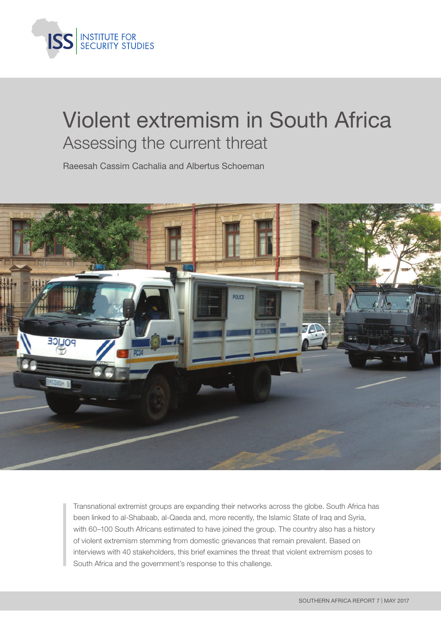

# Violent extremism in South Africa Assessing the current threat

Raeesah Cassim Cachalia and Albertus Schoeman



Transnational extremist groups are expanding their networks across the globe. South Africa has been linked to al-Shabaab, al-Qaeda and, more recently, the Islamic State of Iraq and Syria, with 60–100 South Africans estimated to have joined the group. The country also has a history of violent extremism stemming from domestic grievances that remain prevalent. Based on interviews with 40 stakeholders, this brief examines the threat that violent extremism poses to South Africa and the government's response to this challenge.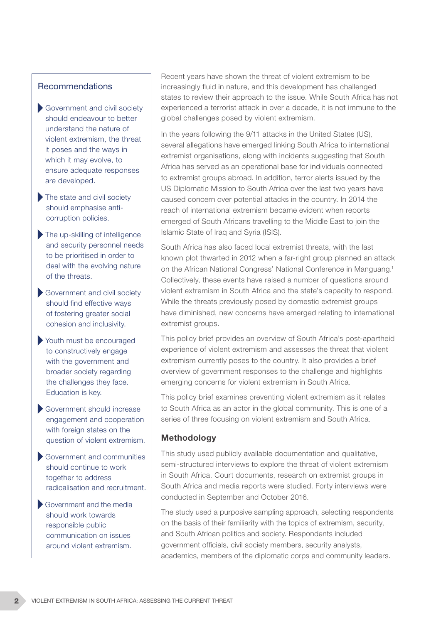#### Recommendations

- Government and civil society should endeavour to better understand the nature of violent extremism, the threat it poses and the ways in which it may evolve, to ensure adequate responses are developed.
- The state and civil society should emphasise anticorruption policies.
- The up-skilling of intelligence and security personnel needs to be prioritised in order to deal with the evolving nature of the threats.
- Government and civil society should find effective ways of fostering greater social cohesion and inclusivity.
- Youth must be encouraged to constructively engage with the government and broader society regarding the challenges they face. Education is key.
- Government should increase engagement and cooperation with foreign states on the question of violent extremism.
- Government and communities should continue to work together to address radicalisation and recruitment.
- Government and the media should work towards responsible public communication on issues around violent extremism.

Recent years have shown the threat of violent extremism to be increasingly fluid in nature, and this development has challenged states to review their approach to the issue. While South Africa has not experienced a terrorist attack in over a decade, it is not immune to the global challenges posed by violent extremism.

In the years following the 9/11 attacks in the United States (US), several allegations have emerged linking South Africa to international extremist organisations, along with incidents suggesting that South Africa has served as an operational base for individuals connected to extremist groups abroad. In addition, terror alerts issued by the US Diplomatic Mission to South Africa over the last two years have caused concern over potential attacks in the country. In 2014 the reach of international extremism became evident when reports emerged of South Africans travelling to the Middle East to join the Islamic State of Iraq and Syria (ISIS).

South Africa has also faced local extremist threats, with the last known plot thwarted in 2012 when a far-right group planned an attack on the African National Congress' National Conference in Manguang.1 Collectively, these events have raised a number of questions around violent extremism in South Africa and the state's capacity to respond. While the threats previously posed by domestic extremist groups have diminished, new concerns have emerged relating to international extremist groups.

This policy brief provides an overview of South Africa's post-apartheid experience of violent extremism and assesses the threat that violent extremism currently poses to the country. It also provides a brief overview of government responses to the challenge and highlights emerging concerns for violent extremism in South Africa.

This policy brief examines preventing violent extremism as it relates to South Africa as an actor in the global community. This is one of a series of three focusing on violent extremism and South Africa.

#### Methodology

This study used publicly available documentation and qualitative, semi-structured interviews to explore the threat of violent extremism in South Africa. Court documents, research on extremist groups in South Africa and media reports were studied. Forty interviews were conducted in September and October 2016.

The study used a purposive sampling approach, selecting respondents on the basis of their familiarity with the topics of extremism, security, and South African politics and society. Respondents included government officials, civil society members, security analysts, academics, members of the diplomatic corps and community leaders.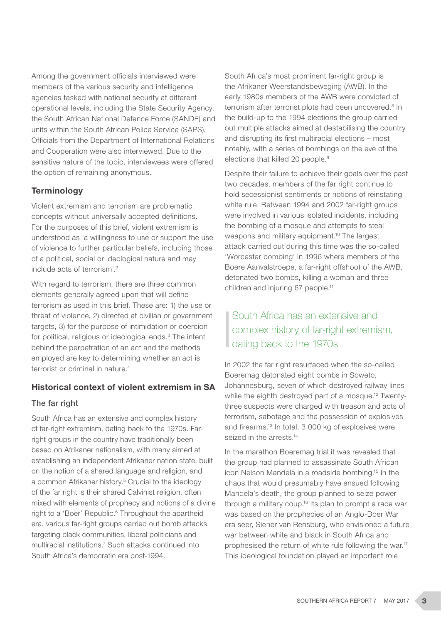Among the government officials interviewed were members of the various security and intelligence agencies tasked with national security at different operational levels, including the State Security Agency, the South African National Defence Force (SANDF) and units within the South African Police Service (SAPS). Officials from the Department of International Relations and Cooperation were also interviewed. Due to the sensitive nature of the topic, interviewees were offered the option of remaining anonymous.

## **Terminology**

Violent extremism and terrorism are problematic concepts without universally accepted definitions. For the purposes of this brief, violent extremism is understood as 'a willingness to use or support the use of violence to further particular beliefs, including those of a political, social or ideological nature and may include acts of terrorism'.2

With regard to terrorism, there are three common elements generally agreed upon that will define terrorism as used in this brief. These are: 1) the use or threat of violence, 2) directed at civilian or government targets, 3) for the purpose of intimidation or coercion for political, religious or ideological ends.3 The intent behind the perpetration of an act and the methods employed are key to determining whether an act is terrorist or criminal in nature.<sup>4</sup>

## Historical context of violent extremism in SA

## The far right

South Africa has an extensive and complex history of far-right extremism, dating back to the 1970s. Farright groups in the country have traditionally been based on Afrikaner nationalism, with many aimed at establishing an independent Afrikaner nation state, built on the notion of a shared language and religion, and a common Afrikaner history.<sup>5</sup> Crucial to the ideology of the far right is their shared Calvinist religion, often mixed with elements of prophecy and notions of a divine right to a 'Boer' Republic.<sup>6</sup> Throughout the apartheid era, various far-right groups carried out bomb attacks targeting black communities, liberal politicians and multiracial institutions.7 Such attacks continued into South Africa's democratic era post-1994.

South Africa's most prominent far-right group is the Afrikaner Weerstandsbeweging (AWB). In the early 1980s members of the AWB were convicted of terrorism after terrorist plots had been uncovered.<sup>8</sup> In the build-up to the 1994 elections the group carried out multiple attacks aimed at destabilising the country and disrupting its first multiracial elections – most notably, with a series of bombings on the eve of the elections that killed 20 people.<sup>9</sup>

Despite their failure to achieve their goals over the past two decades, members of the far right continue to hold secessionist sentiments or notions of reinstating white rule. Between 1994 and 2002 far-right groups were involved in various isolated incidents, including the bombing of a mosque and attempts to steal weapons and military equipment.<sup>10</sup> The largest attack carried out during this time was the so-called 'Worcester bombing' in 1996 where members of the Boere Aanvalstroepe, a far-right offshoot of the AWB, detonated two bombs, killing a woman and three children and injuring 67 people.<sup>11</sup>

# South Africa has an extensive and complex history of far-right extremism, dating back to the 1970s

In 2002 the far right resurfaced when the so-called Boeremag detonated eight bombs in Soweto, Johannesburg, seven of which destroyed railway lines while the eighth destroyed part of a mosque.<sup>12</sup> Twentythree suspects were charged with treason and acts of terrorism, sabotage and the possession of explosives and firearms.13 In total, 3 000 kg of explosives were seized in the arrests.<sup>14</sup>

In the marathon Boeremag trial it was revealed that the group had planned to assassinate South African icon Nelson Mandela in a roadside bombing.15 In the chaos that would presumably have ensued following Mandela's death, the group planned to seize power through a military coup.<sup>16</sup> Its plan to prompt a race war was based on the prophecies of an Anglo-Boer War era seer, Siener van Rensburg, who envisioned a future war between white and black in South Africa and prophesised the return of white rule following the war.17 This ideological foundation played an important role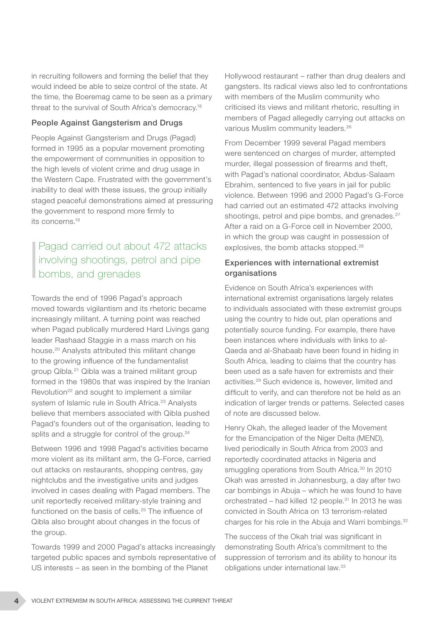in recruiting followers and forming the belief that they would indeed be able to seize control of the state. At the time, the Boeremag came to be seen as a primary threat to the survival of South Africa's democracy.18

#### People Against Gangsterism and Drugs

People Against Gangsterism and Drugs (Pagad) formed in 1995 as a popular movement promoting the empowerment of communities in opposition to the high levels of violent crime and drug usage in the Western Cape. Frustrated with the government's inability to deal with these issues, the group initially staged peaceful demonstrations aimed at pressuring the government to respond more firmly to its concerns.19

# Pagad carried out about 472 attacks involving shootings, petrol and pipe bombs, and grenades

Towards the end of 1996 Pagad's approach moved towards vigilantism and its rhetoric became increasingly militant. A turning point was reached when Pagad publically murdered Hard Livings gang leader Rashaad Staggie in a mass march on his house.20 Analysts attributed this militant change to the growing influence of the fundamentalist group Qibla.21 Qibla was a trained militant group formed in the 1980s that was inspired by the Iranian Revolution<sup>22</sup> and sought to implement a similar system of Islamic rule in South Africa.<sup>23</sup> Analysts believe that members associated with Qibla pushed Pagad's founders out of the organisation, leading to splits and a struggle for control of the group.<sup>24</sup>

Between 1996 and 1998 Pagad's activities became more violent as its militant arm, the G-Force, carried out attacks on restaurants, shopping centres, gay nightclubs and the investigative units and judges involved in cases dealing with Pagad members. The unit reportedly received military-style training and functioned on the basis of cells.25 The influence of Qibla also brought about changes in the focus of the group.

Towards 1999 and 2000 Pagad's attacks increasingly targeted public spaces and symbols representative of US interests – as seen in the bombing of the Planet

Hollywood restaurant – rather than drug dealers and gangsters. Its radical views also led to confrontations with members of the Muslim community who criticised its views and militant rhetoric, resulting in members of Pagad allegedly carrying out attacks on various Muslim community leaders.26

From December 1999 several Pagad members were sentenced on charges of murder, attempted murder, illegal possession of firearms and theft, with Pagad's national coordinator, Abdus-Salaam Ebrahim, sentenced to five years in jail for public violence. Between 1996 and 2000 Pagad's G-Force had carried out an estimated 472 attacks involving shootings, petrol and pipe bombs, and grenades.<sup>27</sup> After a raid on a G-Force cell in November 2000, in which the group was caught in possession of explosives, the bomb attacks stopped.<sup>28</sup>

#### Experiences with international extremist organisations

Evidence on South Africa's experiences with international extremist organisations largely relates to individuals associated with these extremist groups using the country to hide out, plan operations and potentially source funding. For example, there have been instances where individuals with links to al-Qaeda and al-Shabaab have been found in hiding in South Africa, leading to claims that the country has been used as a safe haven for extremists and their activities.29 Such evidence is, however, limited and difficult to verify, and can therefore not be held as an indication of larger trends or patterns. Selected cases of note are discussed below.

Henry Okah, the alleged leader of the Movement for the Emancipation of the Niger Delta (MEND), lived periodically in South Africa from 2003 and reportedly coordinated attacks in Nigeria and smuggling operations from South Africa.<sup>30</sup> In 2010 Okah was arrested in Johannesburg, a day after two car bombings in Abuja – which he was found to have orchestrated – had killed 12 people. $31$  In 2013 he was convicted in South Africa on 13 terrorism-related charges for his role in the Abuja and Warri bombings.<sup>32</sup>

The success of the Okah trial was significant in demonstrating South Africa's commitment to the suppression of terrorism and its ability to honour its obligations under international law.33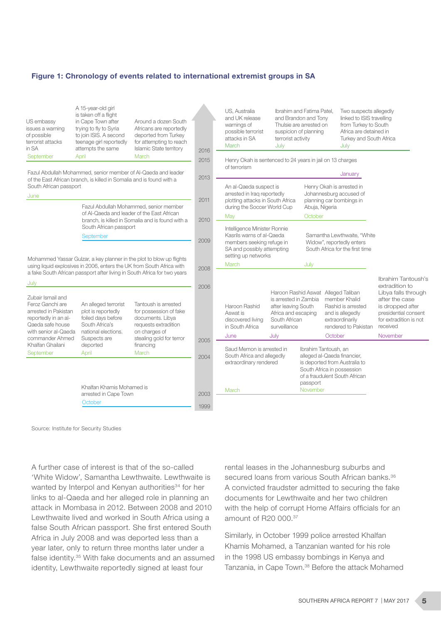#### Figure 1: Chronology of events related to international extremist groups in SA

| US embassy<br>issues a warning<br>of possible<br>terrorist attacks<br>in SA                                                                                                                                                                                                                                                                                                                                          | A 15-year-old girl<br>is taken off a flight<br>in Cape Town after<br>trying to fly to Syria<br>to join ISIS. A second<br>teenage girl reportedly<br>attempts the same | Around a dozen South<br>Africans are reportedly<br>deported from Turkey<br>for attempting to reach<br><b>Islamic State territory</b> | 2016         | US. Australia<br>and UK release<br>warnings of<br>possible terrorist<br>attacks in SA<br>March                                                                                                                                                                                                                                           | terrorist activity<br>July                                                        | Ibrahim and Fatima Patel.<br>and Brandon and Tony<br>Thulsie are arrested on<br>suspicion of planning                                                              | July                                                                                                                                                | Two suspects allegedly<br>linked to ISIS travelling<br>from Turkey to South<br>Africa are detained in<br>Turkey and South Africa          |  |
|----------------------------------------------------------------------------------------------------------------------------------------------------------------------------------------------------------------------------------------------------------------------------------------------------------------------------------------------------------------------------------------------------------------------|-----------------------------------------------------------------------------------------------------------------------------------------------------------------------|--------------------------------------------------------------------------------------------------------------------------------------|--------------|------------------------------------------------------------------------------------------------------------------------------------------------------------------------------------------------------------------------------------------------------------------------------------------------------------------------------------------|-----------------------------------------------------------------------------------|--------------------------------------------------------------------------------------------------------------------------------------------------------------------|-----------------------------------------------------------------------------------------------------------------------------------------------------|-------------------------------------------------------------------------------------------------------------------------------------------|--|
| March<br>September<br>April<br>Fazul Abdullah Mohammed, senior member of Al-Qaeda and leader<br>of the East African branch, is killed in Somalia and is found with a<br>South African passport                                                                                                                                                                                                                       |                                                                                                                                                                       |                                                                                                                                      | 2015<br>2013 | Henry Okah is sentenced to 24 years in jail on 13 charges<br>of terrorism<br>January<br>An al-Qaeda suspect is<br>Henry Okah is arrested in<br>Johannesburg accused of<br>arrested in Iraq reportedly<br>plotting attacks in South Africa<br>planning car bombings in<br>during the Soccer World Cup<br>Abuja, Nigeria<br>October<br>May |                                                                                   |                                                                                                                                                                    |                                                                                                                                                     |                                                                                                                                           |  |
| June<br>Fazul Abdullah Mohammed, senior member<br>of Al-Qaeda and leader of the East African<br>branch, is killed in Somalia and is found with a<br>South African passport<br>September<br>Mohammed Yassar Gulzar, a key planner in the plot to blow up flights<br>using liquid explosives in 2006, enters the UK from South Africa with<br>a fake South African passport after living in South Africa for two years |                                                                                                                                                                       |                                                                                                                                      | 2011<br>2010 |                                                                                                                                                                                                                                                                                                                                          |                                                                                   |                                                                                                                                                                    |                                                                                                                                                     |                                                                                                                                           |  |
|                                                                                                                                                                                                                                                                                                                                                                                                                      |                                                                                                                                                                       |                                                                                                                                      | 2009         | Intelligence Minister Ronnie<br>Kasrils warns of al-Qaeda<br>Samantha Lewthwaite, "White<br>members seeking refuge in<br>Widow", reportedly enters<br>SA and possibly attempting<br>South Africa for the first time                                                                                                                      |                                                                                   |                                                                                                                                                                    |                                                                                                                                                     |                                                                                                                                           |  |
|                                                                                                                                                                                                                                                                                                                                                                                                                      |                                                                                                                                                                       |                                                                                                                                      | 2008         | setting up networks<br>March                                                                                                                                                                                                                                                                                                             |                                                                                   | July                                                                                                                                                               |                                                                                                                                                     | Ibrahim Tantoush's                                                                                                                        |  |
| July<br>Zubair Ismail and<br>Feroz Ganchi are<br>arrested in Pakistan<br>reportedly in an al-<br>Qaeda safe house<br>with senior al-Qaeda                                                                                                                                                                                                                                                                            | An alleged terrorist<br>plot is reportedly<br>foiled days before<br>South Africa's<br>national elections.                                                             | Tantoush is arrested<br>for possession of fake<br>documents. Libya<br>requests extradition<br>on charges of                          | 2006         | Haroon Rashid<br>Aswat is<br>discovered living<br>in South Africa                                                                                                                                                                                                                                                                        | after leaving South<br>Africa and escaping<br>South African<br>surveillance       | Haroon Rashid Aswat Alleged Taliban<br>is arrested in Zambia<br>member Khalid<br>Rashid is arrested<br>and is allegedly<br>extraordinarily<br>rendered to Pakistan |                                                                                                                                                     | extradition to<br>Libya falls through<br>after the case<br>is dropped after<br>presidential consent<br>for extradition is not<br>received |  |
| commander Ahmed<br>Khalfan Ghailani                                                                                                                                                                                                                                                                                                                                                                                  | Suspects are<br>deported                                                                                                                                              | stealing gold for terror<br>financing                                                                                                | 2005         | June                                                                                                                                                                                                                                                                                                                                     | July                                                                              |                                                                                                                                                                    | October                                                                                                                                             | November                                                                                                                                  |  |
| September                                                                                                                                                                                                                                                                                                                                                                                                            | April                                                                                                                                                                 | March                                                                                                                                | 2004         |                                                                                                                                                                                                                                                                                                                                          | Saud Memon is arrested in<br>South Africa and allegedly<br>extraordinary rendered |                                                                                                                                                                    | Ibrahim Tantoush, an<br>alleged al-Qaeda financier,<br>is deported from Australia to<br>South Africa in possession<br>of a fraudulent South African |                                                                                                                                           |  |
|                                                                                                                                                                                                                                                                                                                                                                                                                      | Khalfan Khamis Mohamed is<br>arrested in Cape Town<br>October                                                                                                         |                                                                                                                                      | 2003<br>1999 | March                                                                                                                                                                                                                                                                                                                                    |                                                                                   | passport<br>November                                                                                                                                               |                                                                                                                                                     |                                                                                                                                           |  |

Source: Institute for Security Studies

A further case of interest is that of the so-called 'White Widow', Samantha Lewthwaite. Lewthwaite is wanted by Interpol and Kenyan authorities<sup>34</sup> for her links to al-Qaeda and her alleged role in planning an attack in Mombasa in 2012. Between 2008 and 2010 Lewthwaite lived and worked in South Africa using a false South African passport. She first entered South Africa in July 2008 and was deported less than a year later, only to return three months later under a false identity.35 With fake documents and an assumed identity, Lewthwaite reportedly signed at least four

rental leases in the Johannesburg suburbs and secured loans from various South African banks.<sup>36</sup> A convicted fraudster admitted to securing the fake documents for Lewthwaite and her two children with the help of corrupt Home Affairs officials for an amount of R20 000.37

Similarly, in October 1999 police arrested Khalfan Khamis Mohamed, a Tanzanian wanted for his role in the 1998 US embassy bombings in Kenya and Tanzania, in Cape Town.38 Before the attack Mohamed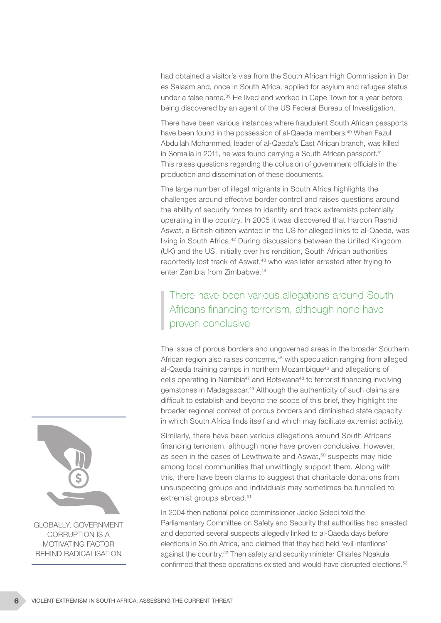had obtained a visitor's visa from the South African High Commission in Dar es Salaam and, once in South Africa, applied for asylum and refugee status under a false name.39 He lived and worked in Cape Town for a year before being discovered by an agent of the US Federal Bureau of Investigation.

There have been various instances where fraudulent South African passports have been found in the possession of al-Qaeda members.<sup>40</sup> When Fazul Abdullah Mohammed, leader of al-Qaeda's East African branch, was killed in Somalia in 2011, he was found carrying a South African passport.<sup>41</sup> This raises questions regarding the collusion of government officials in the production and dissemination of these documents.

The large number of illegal migrants in South Africa highlights the challenges around effective border control and raises questions around the ability of security forces to identify and track extremists potentially operating in the country. In 2005 it was discovered that Haroon Rashid Aswat, a British citizen wanted in the US for alleged links to al-Qaeda, was living in South Africa.42 During discussions between the United Kingdom (UK) and the US, initially over his rendition, South African authorities reportedly lost track of Aswat,<sup>43</sup> who was later arrested after trying to enter Zambia from Zimbabwe.44

# There have been various allegations around South Africans financing terrorism, although none have proven conclusive

The issue of porous borders and ungoverned areas in the broader Southern African region also raises concerns,<sup>45</sup> with speculation ranging from alleged al-Qaeda training camps in northern Mozambique<sup>46</sup> and allegations of cells operating in Namibia47 and Botswana48 to terrorist financing involving gemstones in Madagascar.<sup>49</sup> Although the authenticity of such claims are difficult to establish and beyond the scope of this brief, they highlight the broader regional context of porous borders and diminished state capacity in which South Africa finds itself and which may facilitate extremist activity.

Similarly, there have been various allegations around South Africans financing terrorism, although none have proven conclusive. However, as seen in the cases of Lewthwaite and Aswat,<sup>50</sup> suspects may hide among local communities that unwittingly support them. Along with this, there have been claims to suggest that charitable donations from unsuspecting groups and individuals may sometimes be funnelled to extremist groups abroad.<sup>51</sup>

In 2004 then national police commissioner Jackie Selebi told the Parliamentary Committee on Safety and Security that authorities had arrested and deported several suspects allegedly linked to al-Qaeda days before elections in South Africa, and claimed that they had held 'evil intentions' against the country.52 Then safety and security minister Charles Nqakula confirmed that these operations existed and would have disrupted elections.<sup>53</sup>

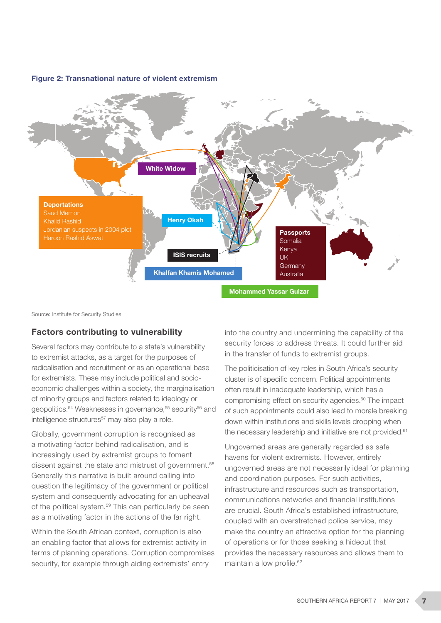



Source: Institute for Security Studies

#### Factors contributing to vulnerability

Several factors may contribute to a state's vulnerability to extremist attacks, as a target for the purposes of radicalisation and recruitment or as an operational base for extremists. These may include political and socioeconomic challenges within a society, the marginalisation of minority groups and factors related to ideology or geopolitics.<sup>54</sup> Weaknesses in governance.<sup>55</sup> security<sup>56</sup> and intelligence structures<sup>57</sup> may also play a role.

Globally, government corruption is recognised as a motivating factor behind radicalisation, and is increasingly used by extremist groups to foment dissent against the state and mistrust of government.<sup>58</sup> Generally this narrative is built around calling into question the legitimacy of the government or political system and consequently advocating for an upheaval of the political system.<sup>59</sup> This can particularly be seen as a motivating factor in the actions of the far right.

Within the South African context, corruption is also an enabling factor that allows for extremist activity in terms of planning operations. Corruption compromises security, for example through aiding extremists' entry

into the country and undermining the capability of the security forces to address threats. It could further aid in the transfer of funds to extremist groups.

The politicisation of key roles in South Africa's security cluster is of specific concern. Political appointments often result in inadequate leadership, which has a compromising effect on security agencies.<sup>60</sup> The impact of such appointments could also lead to morale breaking down within institutions and skills levels dropping when the necessary leadership and initiative are not provided.<sup>61</sup>

Ungoverned areas are generally regarded as safe havens for violent extremists. However, entirely ungoverned areas are not necessarily ideal for planning and coordination purposes. For such activities, infrastructure and resources such as transportation, communications networks and financial institutions are crucial. South Africa's established infrastructure, coupled with an overstretched police service, may make the country an attractive option for the planning of operations or for those seeking a hideout that provides the necessary resources and allows them to maintain a low profile.<sup>62</sup>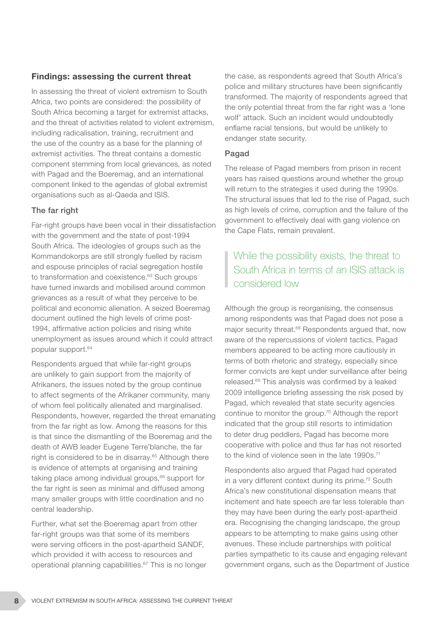### Findings: assessing the current threat

In assessing the threat of violent extremism to South Africa, two points are considered: the possibility of South Africa becoming a target for extremist attacks, and the threat of activities related to violent extremism, including radicalisation, training, recruitment and the use of the country as a base for the planning of extremist activities. The threat contains a domestic component stemming from local grievances, as noted with Pagad and the Boeremag, and an international component linked to the agendas of global extremist organisations such as al-Qaeda and ISIS.

#### The far right

Far-right groups have been vocal in their dissatisfaction with the government and the state of post-1994 South Africa. The ideologies of groups such as the Kommandokorps are still strongly fuelled by racism and espouse principles of racial segregation hostile to transformation and coexistence.<sup>63</sup> Such groups have turned inwards and mobilised around common grievances as a result of what they perceive to be political and economic alienation. A seized Boeremag document outlined the high levels of crime post-1994, affirmative action policies and rising white unemployment as issues around which it could attract popular support.64

Respondents argued that while far-right groups are unlikely to gain support from the majority of Afrikaners, the issues noted by the group continue to affect segments of the Afrikaner community, many of whom feel politically alienated and marginalised. Respondents, however, regarded the threat emanating from the far right as low. Among the reasons for this is that since the dismantling of the Boeremag and the death of AWB leader Eugene Terre'blanche, the far right is considered to be in disarray.<sup>65</sup> Although there is evidence of attempts at organising and training taking place among individual groups,<sup>66</sup> support for the far right is seen as minimal and diffused among many smaller groups with little coordination and no central leadership.

Further, what set the Boeremag apart from other far-right groups was that some of its members were serving officers in the post-apartheid SANDF, which provided it with access to resources and operational planning capabilities.67 This is no longer the case, as respondents agreed that South Africa's police and military structures have been significantly transformed. The majority of respondents agreed that the only potential threat from the far right was a 'lone wolf' attack. Such an incident would undoubtedly enflame racial tensions, but would be unlikely to endanger state security.

#### Pagad

The release of Pagad members from prison in recent years has raised questions around whether the group will return to the strategies it used during the 1990s. The structural issues that led to the rise of Pagad, such as high levels of crime, corruption and the failure of the government to effectively deal with gang violence on the Cape Flats, remain prevalent.

# While the possibility exists, the threat to South Africa in terms of an ISIS attack is considered low

Although the group is reorganising, the consensus among respondents was that Pagad does not pose a major security threat.<sup>68</sup> Respondents arqued that, now aware of the repercussions of violent tactics, Pagad members appeared to be acting more cautiously in terms of both rhetoric and strategy, especially since former convicts are kept under surveillance after being released.69 This analysis was confirmed by a leaked 2009 intelligence briefing assessing the risk posed by Pagad, which revealed that state security agencies continue to monitor the group.70 Although the report indicated that the group still resorts to intimidation to deter drug peddlers, Pagad has become more cooperative with police and thus far has not resorted to the kind of violence seen in the late 1990s.<sup>71</sup>

Respondents also argued that Pagad had operated in a very different context during its prime.<sup>72</sup> South Africa's new constitutional dispensation means that incitement and hate speech are far less tolerable than they may have been during the early post-apartheid era. Recognising the changing landscape, the group appears to be attempting to make gains using other avenues. These include partnerships with political parties sympathetic to its cause and engaging relevant government organs, such as the Department of Justice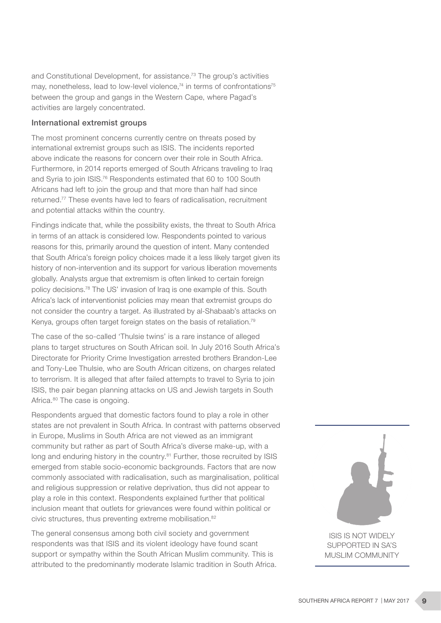and Constitutional Development, for assistance.73 The group's activities may, nonetheless, lead to low-level violence,<sup>74</sup> in terms of confrontations<sup>75</sup> between the group and gangs in the Western Cape, where Pagad's activities are largely concentrated.

#### International extremist groups

The most prominent concerns currently centre on threats posed by international extremist groups such as ISIS. The incidents reported above indicate the reasons for concern over their role in South Africa. Furthermore, in 2014 reports emerged of South Africans traveling to Iraq and Syria to join ISIS.76 Respondents estimated that 60 to 100 South Africans had left to join the group and that more than half had since returned.77 These events have led to fears of radicalisation, recruitment and potential attacks within the country.

Findings indicate that, while the possibility exists, the threat to South Africa in terms of an attack is considered low. Respondents pointed to various reasons for this, primarily around the question of intent. Many contended that South Africa's foreign policy choices made it a less likely target given its history of non-intervention and its support for various liberation movements globally. Analysts argue that extremism is often linked to certain foreign policy decisions.78 The US' invasion of Iraq is one example of this. South Africa's lack of interventionist policies may mean that extremist groups do not consider the country a target. As illustrated by al-Shabaab's attacks on Kenya, groups often target foreign states on the basis of retaliation.<sup>79</sup>

The case of the so-called 'Thulsie twins' is a rare instance of alleged plans to target structures on South African soil. In July 2016 South Africa's Directorate for Priority Crime Investigation arrested brothers Brandon-Lee and Tony-Lee Thulsie, who are South African citizens, on charges related to terrorism. It is alleged that after failed attempts to travel to Syria to join ISIS, the pair began planning attacks on US and Jewish targets in South Africa.<sup>80</sup> The case is ongoing.

Respondents argued that domestic factors found to play a role in other states are not prevalent in South Africa. In contrast with patterns observed in Europe, Muslims in South Africa are not viewed as an immigrant community but rather as part of South Africa's diverse make-up, with a long and enduring history in the country.<sup>81</sup> Further, those recruited by ISIS emerged from stable socio-economic backgrounds. Factors that are now commonly associated with radicalisation, such as marginalisation, political and religious suppression or relative deprivation, thus did not appear to play a role in this context. Respondents explained further that political inclusion meant that outlets for grievances were found within political or civic structures, thus preventing extreme mobilisation.<sup>82</sup>

The general consensus among both civil society and government respondents was that ISIS and its violent ideology have found scant support or sympathy within the South African Muslim community. This is attributed to the predominantly moderate Islamic tradition in South Africa.



SUPPORTED IN SA'S MUSLIM COMMUNITY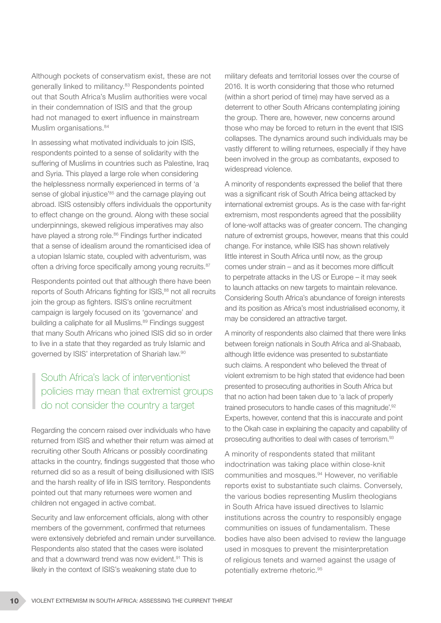Although pockets of conservatism exist, these are not generally linked to militancy.83 Respondents pointed out that South Africa's Muslim authorities were vocal in their condemnation of ISIS and that the group had not managed to exert influence in mainstream Muslim organisations.<sup>84</sup>

In assessing what motivated individuals to join ISIS, respondents pointed to a sense of solidarity with the suffering of Muslims in countries such as Palestine, Iraq and Syria. This played a large role when considering the helplessness normally experienced in terms of 'a sense of global injustice<sup>'85</sup> and the carnage playing out abroad. ISIS ostensibly offers individuals the opportunity to effect change on the ground. Along with these social underpinnings, skewed religious imperatives may also have played a strong role.<sup>86</sup> Findings further indicated that a sense of idealism around the romanticised idea of a utopian Islamic state, coupled with adventurism, was often a driving force specifically among young recruits.<sup>87</sup>

Respondents pointed out that although there have been reports of South Africans fighting for ISIS,<sup>88</sup> not all recruits join the group as fighters. ISIS's online recruitment campaign is largely focused on its 'governance' and building a caliphate for all Muslims.<sup>89</sup> Findings suggest that many South Africans who joined ISIS did so in order to live in a state that they regarded as truly Islamic and governed by ISIS' interpretation of Shariah law.90

# South Africa's lack of interventionist policies may mean that extremist groups do not consider the country a target

Regarding the concern raised over individuals who have returned from ISIS and whether their return was aimed at recruiting other South Africans or possibly coordinating attacks in the country, findings suggested that those who returned did so as a result of being disillusioned with ISIS and the harsh reality of life in ISIS territory. Respondents pointed out that many returnees were women and children not engaged in active combat.

Security and law enforcement officials, along with other members of the government, confirmed that returnees were extensively debriefed and remain under surveillance. Respondents also stated that the cases were isolated and that a downward trend was now evident.<sup>91</sup> This is likely in the context of ISIS's weakening state due to

military defeats and territorial losses over the course of 2016. It is worth considering that those who returned (within a short period of time) may have served as a deterrent to other South Africans contemplating joining the group. There are, however, new concerns around those who may be forced to return in the event that ISIS collapses. The dynamics around such individuals may be vastly different to willing returnees, especially if they have been involved in the group as combatants, exposed to widespread violence.

A minority of respondents expressed the belief that there was a significant risk of South Africa being attacked by international extremist groups. As is the case with far-right extremism, most respondents agreed that the possibility of lone-wolf attacks was of greater concern. The changing nature of extremist groups, however, means that this could change. For instance, while ISIS has shown relatively little interest in South Africa until now, as the group comes under strain – and as it becomes more difficult to perpetrate attacks in the US or Europe – it may seek to launch attacks on new targets to maintain relevance. Considering South Africa's abundance of foreign interests and its position as Africa's most industrialised economy, it may be considered an attractive target.

A minority of respondents also claimed that there were links between foreign nationals in South Africa and al-Shabaab, although little evidence was presented to substantiate such claims. A respondent who believed the threat of violent extremism to be high stated that evidence had been presented to prosecuting authorities in South Africa but that no action had been taken due to 'a lack of properly trained prosecutors to handle cases of this magnitude'.92 Experts, however, contend that this is inaccurate and point to the Okah case in explaining the capacity and capability of prosecuting authorities to deal with cases of terrorism.93

A minority of respondents stated that militant indoctrination was taking place within close-knit communities and mosques.94 However, no verifiable reports exist to substantiate such claims. Conversely, the various bodies representing Muslim theologians in South Africa have issued directives to Islamic institutions across the country to responsibly engage communities on issues of fundamentalism. These bodies have also been advised to review the language used in mosques to prevent the misinterpretation of religious tenets and warned against the usage of potentially extreme rhetoric.95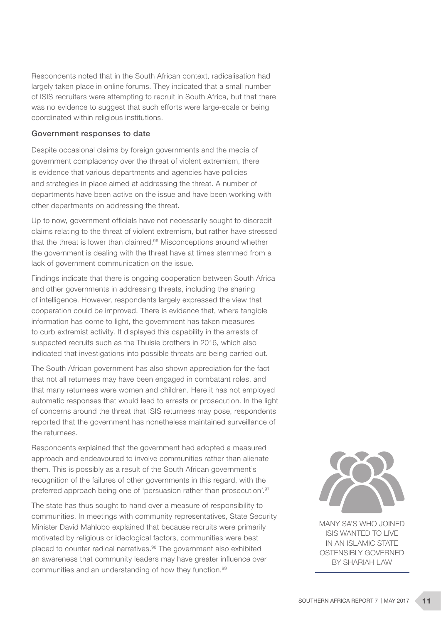Respondents noted that in the South African context, radicalisation had largely taken place in online forums. They indicated that a small number of ISIS recruiters were attempting to recruit in South Africa, but that there was no evidence to suggest that such efforts were large-scale or being coordinated within religious institutions.

#### Government responses to date

Despite occasional claims by foreign governments and the media of government complacency over the threat of violent extremism, there is evidence that various departments and agencies have policies and strategies in place aimed at addressing the threat. A number of departments have been active on the issue and have been working with other departments on addressing the threat.

Up to now, government officials have not necessarily sought to discredit claims relating to the threat of violent extremism, but rather have stressed that the threat is lower than claimed.<sup>96</sup> Misconceptions around whether the government is dealing with the threat have at times stemmed from a lack of government communication on the issue.

Findings indicate that there is ongoing cooperation between South Africa and other governments in addressing threats, including the sharing of intelligence. However, respondents largely expressed the view that cooperation could be improved. There is evidence that, where tangible information has come to light, the government has taken measures to curb extremist activity. It displayed this capability in the arrests of suspected recruits such as the Thulsie brothers in 2016, which also indicated that investigations into possible threats are being carried out.

The South African government has also shown appreciation for the fact that not all returnees may have been engaged in combatant roles, and that many returnees were women and children. Here it has not employed automatic responses that would lead to arrests or prosecution. In the light of concerns around the threat that ISIS returnees may pose, respondents reported that the government has nonetheless maintained surveillance of the returnees.

Respondents explained that the government had adopted a measured approach and endeavoured to involve communities rather than alienate them. This is possibly as a result of the South African government's recognition of the failures of other governments in this regard, with the preferred approach being one of 'persuasion rather than prosecution'.<sup>97</sup>

The state has thus sought to hand over a measure of responsibility to communities. In meetings with community representatives, State Security Minister David Mahlobo explained that because recruits were primarily motivated by religious or ideological factors, communities were best placed to counter radical narratives.<sup>98</sup> The government also exhibited an awareness that community leaders may have greater influence over communities and an understanding of how they function.99



MANY SA'S WHO JOINED ISIS WANTED TO LIVE IN AN ISLAMIC STATE OSTENSIBLY GOVERNED BY SHARIAH LAW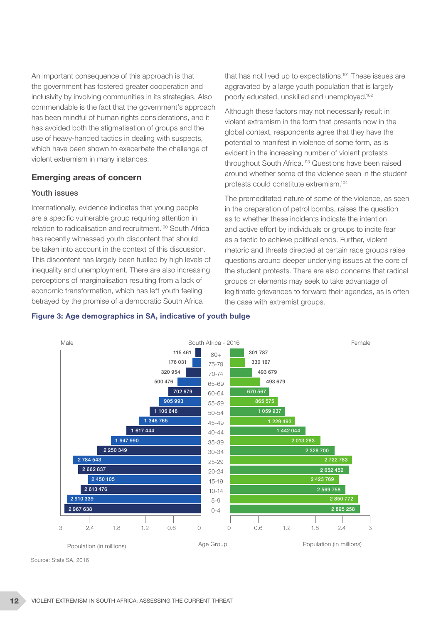An important consequence of this approach is that the government has fostered greater cooperation and inclusivity by involving communities in its strategies. Also commendable is the fact that the government's approach has been mindful of human rights considerations, and it has avoided both the stigmatisation of groups and the use of heavy-handed tactics in dealing with suspects, which have been shown to exacerbate the challenge of violent extremism in many instances.

#### Emerging areas of concern

#### Youth issues

Internationally, evidence indicates that young people are a specific vulnerable group requiring attention in relation to radicalisation and recruitment.100 South Africa has recently witnessed youth discontent that should be taken into account in the context of this discussion. This discontent has largely been fuelled by high levels of inequality and unemployment. There are also increasing perceptions of marginalisation resulting from a lack of economic transformation, which has left youth feeling betrayed by the promise of a democratic South Africa

that has not lived up to expectations.<sup>101</sup> These issues are aggravated by a large youth population that is largely poorly educated, unskilled and unemployed.102

Although these factors may not necessarily result in violent extremism in the form that presents now in the global context, respondents agree that they have the potential to manifest in violence of some form, as is evident in the increasing number of violent protests throughout South Africa.<sup>103</sup> Questions have been raised around whether some of the violence seen in the student protests could constitute extremism.104

The premeditated nature of some of the violence, as seen in the preparation of petrol bombs, raises the question as to whether these incidents indicate the intention and active effort by individuals or groups to incite fear as a tactic to achieve political ends. Further, violent rhetoric and threats directed at certain race groups raise questions around deeper underlying issues at the core of the student protests. There are also concerns that radical groups or elements may seek to take advantage of legitimate grievances to forward their agendas, as is often the case with extremist groups.



#### Figure 3: Age demographics in SA, indicative of youth bulge

Source: Stats SA, 2016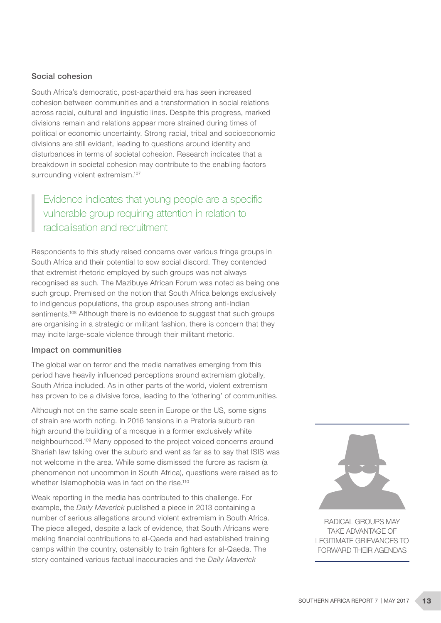#### Social cohesion

South Africa's democratic, post-apartheid era has seen increased cohesion between communities and a transformation in social relations across racial, cultural and linguistic lines. Despite this progress, marked divisions remain and relations appear more strained during times of political or economic uncertainty. Strong racial, tribal and socioeconomic divisions are still evident, leading to questions around identity and disturbances in terms of societal cohesion. Research indicates that a breakdown in societal cohesion may contribute to the enabling factors surrounding violent extremism.<sup>107</sup>

Evidence indicates that young people are a specific vulnerable group requiring attention in relation to radicalisation and recruitment

Respondents to this study raised concerns over various fringe groups in South Africa and their potential to sow social discord. They contended that extremist rhetoric employed by such groups was not always recognised as such. The Mazibuye African Forum was noted as being one such group. Premised on the notion that South Africa belongs exclusively to indigenous populations, the group espouses strong anti-Indian sentiments.<sup>108</sup> Although there is no evidence to suggest that such groups are organising in a strategic or militant fashion, there is concern that they may incite large-scale violence through their militant rhetoric.

#### Impact on communities

The global war on terror and the media narratives emerging from this period have heavily influenced perceptions around extremism globally, South Africa included. As in other parts of the world, violent extremism has proven to be a divisive force, leading to the 'othering' of communities.

Although not on the same scale seen in Europe or the US, some signs of strain are worth noting. In 2016 tensions in a Pretoria suburb ran high around the building of a mosque in a former exclusively white neighbourhood.109 Many opposed to the project voiced concerns around Shariah law taking over the suburb and went as far as to say that ISIS was not welcome in the area. While some dismissed the furore as racism (a phenomenon not uncommon in South Africa), questions were raised as to whether Islamophobia was in fact on the rise.<sup>110</sup>

Weak reporting in the media has contributed to this challenge. For example, the *Daily Maverick* published a piece in 2013 containing a number of serious allegations around violent extremism in South Africa. The piece alleged, despite a lack of evidence, that South Africans were making financial contributions to al-Qaeda and had established training camps within the country, ostensibly to train fighters for al-Qaeda. The story contained various factual inaccuracies and the *Daily Maverick*



RADICAL GROUPS MAY TAKE ADVANTAGE OF LEGITIMATE GRIEVANCES TO FORWARD THEIR AGENDAS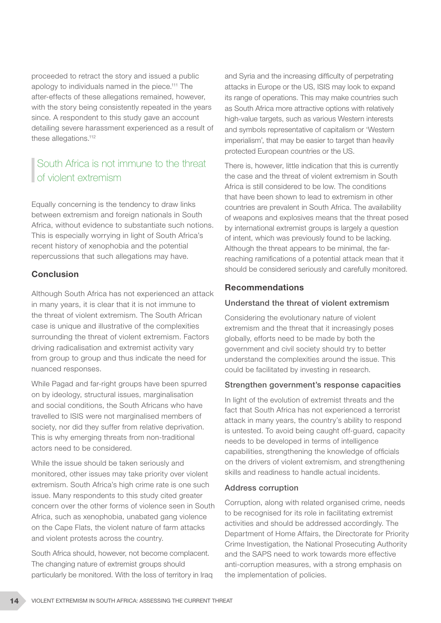proceeded to retract the story and issued a public apology to individuals named in the piece.111 The after-effects of these allegations remained, however, with the story being consistently repeated in the years since. A respondent to this study gave an account detailing severe harassment experienced as a result of these allegations.<sup>112</sup>

# South Africa is not immune to the threat of violent extremism

Equally concerning is the tendency to draw links between extremism and foreign nationals in South Africa, without evidence to substantiate such notions. This is especially worrying in light of South Africa's recent history of xenophobia and the potential repercussions that such allegations may have.

## Conclusion

Although South Africa has not experienced an attack in many years, it is clear that it is not immune to the threat of violent extremism. The South African case is unique and illustrative of the complexities surrounding the threat of violent extremism. Factors driving radicalisation and extremist activity vary from group to group and thus indicate the need for nuanced responses.

While Pagad and far-right groups have been spurred on by ideology, structural issues, marginalisation and social conditions, the South Africans who have travelled to ISIS were not marginalised members of society, nor did they suffer from relative deprivation. This is why emerging threats from non-traditional actors need to be considered.

While the issue should be taken seriously and monitored, other issues may take priority over violent extremism. South Africa's high crime rate is one such issue. Many respondents to this study cited greater concern over the other forms of violence seen in South Africa, such as xenophobia, unabated gang violence on the Cape Flats, the violent nature of farm attacks and violent protests across the country.

South Africa should, however, not become complacent. The changing nature of extremist groups should particularly be monitored. With the loss of territory in Iraq and Syria and the increasing difficulty of perpetrating attacks in Europe or the US, ISIS may look to expand its range of operations. This may make countries such as South Africa more attractive options with relatively high-value targets, such as various Western interests and symbols representative of capitalism or 'Western imperialism', that may be easier to target than heavily protected European countries or the US.

There is, however, little indication that this is currently the case and the threat of violent extremism in South Africa is still considered to be low. The conditions that have been shown to lead to extremism in other countries are prevalent in South Africa. The availability of weapons and explosives means that the threat posed by international extremist groups is largely a question of intent, which was previously found to be lacking. Although the threat appears to be minimal, the farreaching ramifications of a potential attack mean that it should be considered seriously and carefully monitored.

## Recommendations

#### Understand the threat of violent extremism

Considering the evolutionary nature of violent extremism and the threat that it increasingly poses globally, efforts need to be made by both the government and civil society should try to better understand the complexities around the issue. This could be facilitated by investing in research.

#### Strengthen government's response capacities

In light of the evolution of extremist threats and the fact that South Africa has not experienced a terrorist attack in many years, the country's ability to respond is untested. To avoid being caught off-guard, capacity needs to be developed in terms of intelligence capabilities, strengthening the knowledge of officials on the drivers of violent extremism, and strengthening skills and readiness to handle actual incidents.

#### Address corruption

Corruption, along with related organised crime, needs to be recognised for its role in facilitating extremist activities and should be addressed accordingly. The Department of Home Affairs, the Directorate for Priority Crime Investigation, the National Prosecuting Authority and the SAPS need to work towards more effective anti-corruption measures, with a strong emphasis on the implementation of policies.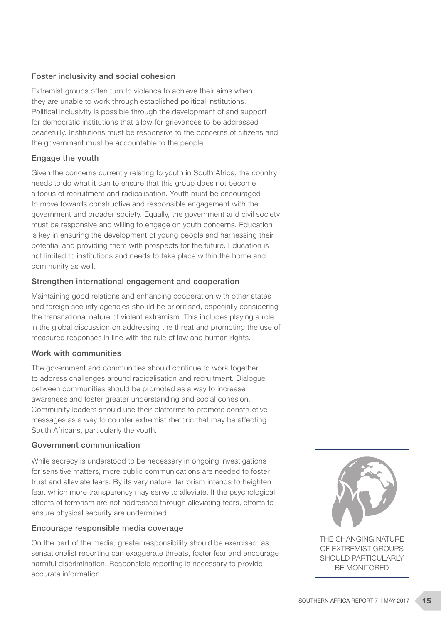#### Foster inclusivity and social cohesion

Extremist groups often turn to violence to achieve their aims when they are unable to work through established political institutions. Political inclusivity is possible through the development of and support for democratic institutions that allow for grievances to be addressed peacefully. Institutions must be responsive to the concerns of citizens and the government must be accountable to the people.

#### Engage the youth

Given the concerns currently relating to youth in South Africa, the country needs to do what it can to ensure that this group does not become a focus of recruitment and radicalisation. Youth must be encouraged to move towards constructive and responsible engagement with the government and broader society. Equally, the government and civil society must be responsive and willing to engage on youth concerns. Education is key in ensuring the development of young people and harnessing their potential and providing them with prospects for the future. Education is not limited to institutions and needs to take place within the home and community as well.

#### Strengthen international engagement and cooperation

Maintaining good relations and enhancing cooperation with other states and foreign security agencies should be prioritised, especially considering the transnational nature of violent extremism. This includes playing a role in the global discussion on addressing the threat and promoting the use of measured responses in line with the rule of law and human rights.

#### Work with communities

The government and communities should continue to work together to address challenges around radicalisation and recruitment. Dialogue between communities should be promoted as a way to increase awareness and foster greater understanding and social cohesion. Community leaders should use their platforms to promote constructive messages as a way to counter extremist rhetoric that may be affecting South Africans, particularly the youth.

#### Government communication

While secrecy is understood to be necessary in ongoing investigations for sensitive matters, more public communications are needed to foster trust and alleviate fears. By its very nature, terrorism intends to heighten fear, which more transparency may serve to alleviate. If the psychological effects of terrorism are not addressed through alleviating fears, efforts to ensure physical security are undermined.

#### Encourage responsible media coverage

On the part of the media, greater responsibility should be exercised, as sensationalist reporting can exaggerate threats, foster fear and encourage harmful discrimination. Responsible reporting is necessary to provide accurate information.



THE CHANGING NATURE OF EXTREMIST GROUPS SHOULD PARTICULARLY BE MONITORED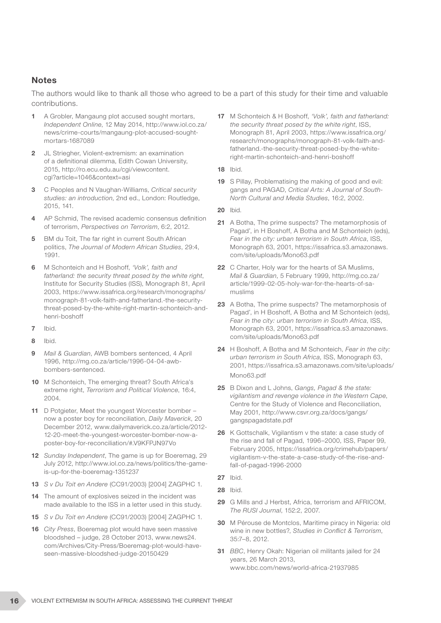#### **Notes**

The authors would like to thank all those who agreed to be a part of this study for their time and valuable contributions.

- 1 A Grobler, Mangaung plot accused sought mortars, *Independent Online*, 12 May 2014, http://www.iol.co.za/ news/crime-courts/mangaung-plot-accused-soughtmortars-1687089
- 2 JL Striegher, Violent-extremism: an examination of a definitional dilemma, Edith Cowan University, 2015, http://ro.ecu.edu.au/cgi/viewcontent. cgi?article=1046&context=asi
- 3 C Peoples and N Vaughan-Williams, *Critical security studies: an introduction*, 2nd ed., London: Routledge, 2015, 141.
- 4 AP Schmid, The revised academic consensus definition of terrorism, *Perspectives on Terrorism*, 6:2, 2012.
- 5 BM du Toit, The far right in current South African politics, *The Journal of Modern African Studies*, 29:4, 1991.
- 6 M Schonteich and H Boshoff, *'Volk', faith and fatherland: the security threat posed by the white right*, Institute for Security Studies (ISS), Monograph 81, April 2003, https://www.issafrica.org/research/monographs/ monograph-81-volk-faith-and-fatherland.-the-securitythreat-posed-by-the-white-right-martin-schonteich-andhenri-boshoff
- 7 Ibid.
- 8 Ibid.
- 9 *Mail & Guardian*, AWB bombers sentenced, 4 April 1996, http://mg.co.za/article/1996-04-04-awbbombers-sentenced.
- 10 M Schonteich, The emerging threat? South Africa's extreme right, *Terrorism and Political Violence*, 16:4, 2004.
- 11 D Potgieter, Meet the youngest Worcester bomber now a poster boy for reconciliation, *Daily Maverick*, 20 December 2012, www.dailymaverick.co.za/article/2012- 12-20-meet-the-youngest-worcester-bomber-now-aposter-boy-for-reconciliation/#.V9KFPJN97Vo
- 12 *Sunday Independent*, The game is up for Boeremag, 29 July 2012, http://www.iol.co.za/news/politics/the-gameis-up-for-the-boeremag-1351237
- 13 *S v Du Toit en Andere* (CC91/2003) [2004] ZAGPHC 1.
- 14 The amount of explosives seized in the incident was made available to the ISS in a letter used in this study.
- 15 *S v Du Toit en Andere* (CC91/2003) [2004] ZAGPHC 1.
- 16 *City Press*, Boeremag plot would have seen massive bloodshed – judge, 28 October 2013, www.news24. com/Archives/City-Press/Boeremag-plot-would-haveseen-massive-bloodshed-judge-20150429
- 17 M Schonteich & H Boshoff, *'Volk', faith and fatherland: the security threat posed by the white right*, ISS, Monograph 81, April 2003, https://www.issafrica.org/ research/monographs/monograph-81-volk-faith-andfatherland.-the-security-threat-posed-by-the-whiteright-martin-schonteich-and-henri-boshoff
- 18 Ibid.
- 19 S Pillay, Problematising the making of good and evil: gangs and PAGAD, *Critical Arts: A Journal of South-North Cultural and Media Studies*, 16:2, 2002.
- 20 Ibid.
- 21 A Botha, The prime suspects? The metamorphosis of Pagad', in H Boshoff, A Botha and M Schonteich (eds), *Fear in the city: urban terrorism in South Africa*, ISS, Monograph 63, 2001, https://issafrica.s3.amazonaws. com/site/uploads/Mono63.pdf
- 22 C Charter, Holy war for the hearts of SA Muslims, *Mail & Guardian*, 5 February 1999, http://mg.co.za/ article/1999-02-05-holy-war-for-the-hearts-of-samuslims
- 23 A Botha, The prime suspects? The metamorphosis of Pagad', in H Boshoff, A Botha and M Schonteich (eds), *Fear in the city: urban terrorism in South Africa*, ISS, Monograph 63, 2001, https://issafrica.s3.amazonaws. com/site/uploads/Mono63.pdf
- 24 H Boshoff, A Botha and M Schonteich, *Fear in the city: urban terrorism in South Africa*, ISS, Monograph 63, 2001, https://issafrica.s3.amazonaws.com/site/uploads/ Mono63.pdf
- 25 B Dixon and L Johns, *Gangs, Pagad & the state: vigilantism and revenge violence in the Western Cape*, Centre for the Study of Violence and Reconciliation, May 2001, http://www.csvr.org.za/docs/gangs/ gangspagadstate.pdf
- 26 K Gottschalk, Vigilantism v the state: a case study of the rise and fall of Pagad, 1996–2000, ISS, Paper 99, February 2005, https://issafrica.org/crimehub/papers/ vigilantism-v-the-state-a-case-study-of-the-rise-andfall-of-pagad-1996-2000
- 27 Ibid.
- 28 Ibid.
- 29 G Mills and J Herbst, Africa, terrorism and AFRICOM. *The RUSI Journal*, 152:2, 2007.
- 30 M Pérouse de Montclos, Maritime piracy in Nigeria: old wine in new bottles?, *Studies in Conflict & Terrorism*, 35:7–8, 2012.
- 31 *BBC*, Henry Okah: Nigerian oil militants jailed for 24 years, 26 March 2013, www.bbc.com/news/world-africa-21937985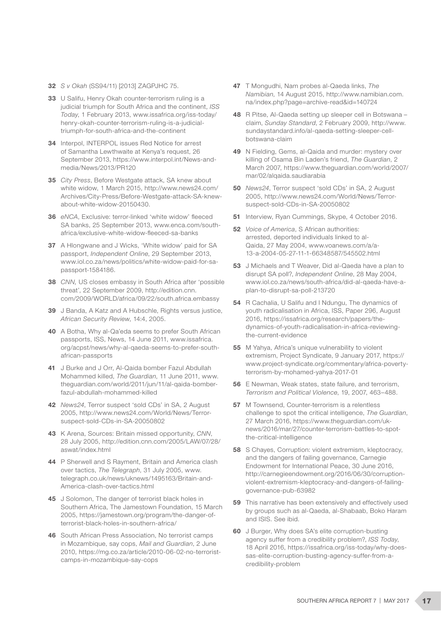- 32 *S v Okah* (SS94/11) [2013] ZAGPJHC 75.
- 33 U Salifu, Henry Okah counter-terrorism ruling is a judicial triumph for South Africa and the continent, *ISS Today*, 1 February 2013, www.issafrica.org/iss-today/ henry-okah-counter-terrorism-ruling-is-a-judicialtriumph-for-south-africa-and-the-continent
- 34 Interpol, INTERPOL issues Red Notice for arrest of Samantha Lewthwaite at Kenya's request, 26 September 2013, https://www.interpol.int/News-andmedia/News/2013/PR120
- 35 *City Press*, Before Westgate attack, SA knew about white widow, 1 March 2015, http://www.news24.com/ Archives/City-Press/Before-Westgate-attack-SA-knewabout-white-widow-20150430.
- 36 *eNCA*, Exclusive: terror-linked 'white widow' fleeced SA banks, 25 September 2013, www.enca.com/southafrica/exclusive-white-widow-fleeced-sa-banks
- 37 A Hlongwane and J Wicks, 'White widow' paid for SA passport, *Independent Online*, 29 September 2013, www.iol.co.za/news/politics/white-widow-paid-for-sapassport-1584186.
- 38 *CNN,* US closes embassy in South Africa after 'possible threat', 22 September 2009, http://edition.cnn. com/2009/WORLD/africa/09/22/south.africa.embassy
- 39 J Banda, A Katz and A Hubschle, Rights versus justice, *African Security Review*, 14:4, 2005.
- 40 A Botha, Why al-Qa'eda seems to prefer South African passports, ISS, News, 14 June 2011, www.issafrica. org/acpst/news/why-al-qaeda-seems-to-prefer-southafrican-passports
- 41 J Burke and J Orr, Al-Qaida bomber Fazul Abdullah Mohammed killed, *The Guardian*, 11 June 2011, www. theguardian.com/world/2011/jun/11/al-qaida-bomberfazul-abdullah-mohammed-killed
- 42 *News24*, Terror suspect 'sold CDs' in SA, 2 August 2005, http://www.news24.com/World/News/Terrorsuspect-sold-CDs-in-SA-20050802
- 43 K Arena, Sources: Britain missed opportunity, *CNN*, 28 July 2005, http://edition.cnn.com/2005/LAW/07/28/ aswat/index.html
- 44 P Sherwell and S Rayment, Britain and America clash over tactics, *The Telegraph*, 31 July 2005, www. telegraph.co.uk/news/uknews/1495163/Britain-and-America-clash-over-tactics.html
- 45 J Solomon, The danger of terrorist black holes in Southern Africa, The Jamestown Foundation, 15 March 2005, https://jamestown.org/program/the-danger-ofterrorist-black-holes-in-southern-africa/
- 46 South African Press Association, No terrorist camps in Mozambique, say cops, *Mail and Guardian*, 2 June 2010, https://mg.co.za/article/2010-06-02-no-terroristcamps-in-mozambique-say-cops
- 47 T Mongudhi, Nam probes al-Qaeda links, *The Namibian*, 14 August 2015, http://www.namibian.com. na/index.php?page=archive-read&id=140724
- 48 R Pitse, Al-Qaeda setting up sleeper cell in Botswana claim, *Sunday Standard*, 2 February 2009, http://www. sundaystandard.info/al-qaeda-setting-sleeper-cellbotswana-claim
- 49 N Fielding, Gems, al-Qaida and murder: mystery over killing of Osama Bin Laden's friend, *The Guardian*, 2 March 2007, https://www.theguardian.com/world/2007/ mar/02/alqaida.saudiarabia
- 50 *News24*, Terror suspect 'sold CDs' in SA, 2 August 2005, http://www.news24.com/World/News/Terrorsuspect-sold-CDs-in-SA-20050802
- 51 Interview, Ryan Cummings, Skype, 4 October 2016.
- 52 *Voice of America*, S African authorities: arrested, deported individuals linked to al-Qaida, 27 May 2004, www.voanews.com/a/a-13-a-2004-05-27-11-1-66348587/545502.html
- 53 J Michaels and T Weaver, Did al-Qaeda have a plan to disrupt SA poll?, *Independent Online*, 28 May 2004, www.iol.co.za/news/south-africa/did-al-qaeda-have-aplan-to-disrupt-sa-poll-213720
- 54 R Cachalia, U Salifu and I Ndungu, The dynamics of youth radicalisation in Africa, ISS, Paper 296, August 2016, https://issafrica.org/research/papers/thedynamics-of-youth-radicalisation-in-africa-reviewingthe-current-evidence
- 55 M Yahya, Africa's unique vulnerability to violent extremism, Project Syndicate, 9 January 2017, https:// www.project-syndicate.org/commentary/africa-povertyterrorism-by-mohamed-yahya-2017-01
- 56 E Newman, Weak states, state failure, and terrorism, *Terrorism and Political Violence*, 19, 2007, 463–488.
- **57** M Townsend, Counter-terrorism is a relentless challenge to spot the critical intelligence, *The Guardian*, 27 March 2016, https://www.theguardian.com/uknews/2016/mar/27/counter-terrorism-battles-to-spotthe-critical-intelligence
- 58 S Chayes, Corruption: violent extremism, kleptocracy, and the dangers of failing governance, Carnegie Endowment for International Peace, 30 June 2016, http://carnegieendowment.org/2016/06/30/corruptionviolent-extremism-kleptocracy-and-dangers-of-failinggovernance-pub-63982
- 59 This narrative has been extensively and effectively used by groups such as al-Qaeda, al-Shabaab, Boko Haram and ISIS. See ibid.
- 60 J Burger, Why does SA's elite corruption-busting agency suffer from a credibility problem?, *ISS Today*, 18 April 2016, https://issafrica.org/iss-today/why-doessas-elite-corruption-busting-agency-suffer-from-acredibility-problem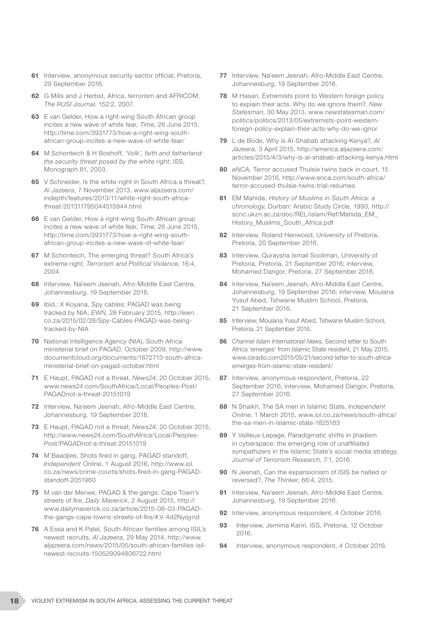- **61** Interview, anonymous security sector official, Pretoria, 29 September 2016.
- 62 G Mills and J Herbst, Africa, terrorism and AFRICOM, *The RUSI Journal*, 152:2, 2007.
- 63 E van Gelder, How a right-wing South African group incites a new wave of white fear, *Time*, 26 June 2015, http://time.com/3931773/how-a-right-wing-southafrican-group-incites-a-new-wave-of-white-fear/
- 64 M Schonteich & H Boshoff, *'Volk', faith and fatherland: the security threat posed by the white right*, ISS, Monograph 81, 2003.
- 65 V Schneider, Is the white-right in South Africa a threat?, *Al Jazeera*, 7 November 2013, www.aljazeera.com/ indepth/features/2013/11/white-right-south-africathreat-201311795044515944.html
- 66 E van Gelder, How a right-wing South African group incites a new wave of white fear, *Time*, 26 June 2015, http://time.com/3931773/how-a-right-wing-southafrican-group-incites-a-new-wave-of-white-fear/
- 67 M Schonteich, The emerging threat? South Africa's extreme right, *Terrorism and Political Violence*, 16:4, 2004.
- 68 Interview, Na'eem Jeenah, Afro-Middle East Centre, Johannesburg, 19 September 2016.
- 69 Ibid.; X Koyana, Spy cables: PAGAD was being tracked by NIA, *EWN*, 28 February 2015, http://ewn. co.za/2015/02/28/Spy-Cables-PAGAD-was-beingtracked-by-NIA
- 70 National Intelligence Agency (NIA), South Africa ministerial brief on PAGAD, October 2009, http://www. documentcloud.org/documents/1672713-south-africaministerial-brief-on-pagad-october.html
- 71 E Haupt, PAGAD not a threat, *News24*, 20 October 2015, www.news24.com/SouthAfrica/Local/Peoples-Post/ PAGADnot-a-threat-20151019
- 72 Interview, Na'eem Jeenah, Afro-Middle East Centre, Johannesburg, 19 September 2016.
- 73 E Haupt, PAGAD not a threat, *News24*, 20 October 2015, http://www.news24.com/SouthAfrica/Local/Peoples-Post/PAGADnot-a-threat-20151019
- 74 M Baadjies, Shots fired in gang, PAGAD standoff, *Independent Online*, 1 August 2016, http://www.iol. co.za/news/crime-courts/shots-fired-in-gang-PAGADstandoff-2051960
- 75 M van der Merwe, PAGAD & the gangs: Cape Town's streets of fire, *Daily Maverick*, 2 August 2015, http:// www.dailymaverick.co.za/article/2015-08-03-PAGADthe-gangs-cape-towns-streets-of-fire/#.V-4d2Nyqynd
- 76 A Essa and K Patel, South African families among ISIL's newest recruits, *Al Jazeera*, 29 May 2014, http://www. aljazeera.com/news/2015/05/south-african-families-isilnewest-recruits-150529094806722.html
- 77 Interview, Na'eem Jeenah, Afro-Middle East Centre, Johannesburg, 19 September 2016.
- 78 M Hasan, Extremists point to Western foreign policy to explain their acts. Why do we ignore them?, *New Statesman*, 30 May 2013, www.newstatesman.com/ politics/politics/2013/05/extremists-point-westernforeign-policy-explain-their-acts-why-do-we-ignor
- 79 L de Bode, Why is Al-Shabab attacking Kenya?, *Al Jazeera*, 3 April 2015, http://america.aljazeera.com/ articles/2015/4/3/why-is-al-shabab-attacking-kenya.html
- 80 *eNCA,* Terror accused Thulsie twins back in court, 15 November 2016, http://www.enca.com/south-africa/ terror-accused-thulsie-twins-trial-resumes
- 81 EM Mahida, *History of Muslims in South Africa: a chronology*, Durban: Arabic Study Circle, 1993, http:// scnc.ukzn.ac.za/doc/REL/islam/Ref/Mahida\_EM\_ History\_Muslims\_South\_Africa.pdf
- 82 Interview, Roland Henwood, University of Pretoria, Pretoria, 20 September 2016.
- 83 Interview, Quraysha Ismail Sooliman, University of Pretoria, Pretoria, 21 September 2016; interview, Mohamed Dangor, Pretoria, 27 September 2016.
- 84 Interview, Na'eem Jeenah, Afro-Middle East Centre, Johannesburg, 19 September 2016; interview, Moulana Yusuf Abed, Tshwane Muslim School, Pretoria, 21 September 2016.
- 85 Interview, Moulana Yusuf Abed, Tshwane Muslim School, Pretoria, 21 September 2016.
- 86 *Channel Islam International News*, Second letter to South Africa 'emerges' from Islamic State resident, 21 May 2015, www.ciiradio.com2015/05/21/second-letter-to-south-africaemerges-from-islamic-state-resident/
- 87 Interview, anonymous respondent, Pretoria, 22 September 2016; interview, Mohamed Dangor, Pretoria, 27 September 2016.
- 88 N Shaikh, The SA men in Islamic State, *Independent Online*, 1 March 2015, www.iol.co.za/news/south-africa/ the-sa-men-in-islamic-state-1825183
- 89 Y Veilleux-Lepage, Paradigmatic shifts in jihadism in cyberspace: the emerging role of unaffiliated sympathizers in the Islamic State's social media strategy, *Journal of Terrorism Research*, 7:1, 2016.
- 90 N Jeenah, Can the expansionism of ISIS be halted or reversed?, *The Thinker*, 66:4, 2015.
- 91 Interview, Na'eem Jeenah, Afro-Middle East Centre, Johannesburg, 19 September 2016.
- 92 Interview, anonymous respondent, 4 October 2016.
- 93 Interview, Jemima Kariri, ISS, Pretoria, 12 October 2016.
- 94 Interview, anonymous respondent, 4 October 2016.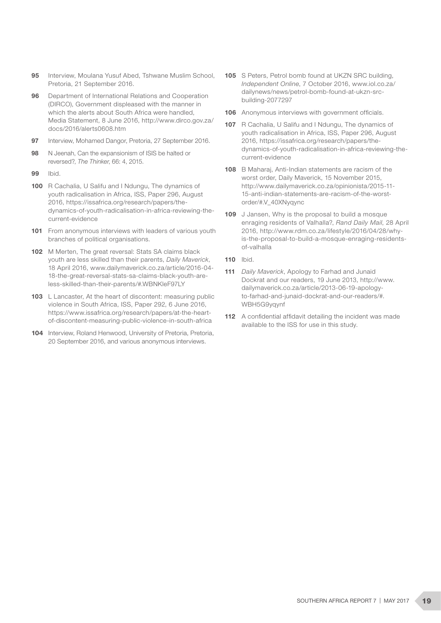- **95** Interview, Moulana Yusuf Abed, Tshwane Muslim School, Pretoria, 21 September 2016.
- 96 Department of International Relations and Cooperation (DIRCO), Government displeased with the manner in which the alerts about South Africa were handled, Media Statement, 8 June 2016, http://www.dirco.gov.za/ docs/2016/alerts0608.htm
- 97 Interview, Mohamed Dangor, Pretoria, 27 September 2016.
- 98 N Jeenah, Can the expansionism of ISIS be halted or reversed?, *The Thinker*, 66: 4, 2015.
- 99 Ibid.
- 100 R Cachalia, U Salifu and I Ndungu, The dynamics of youth radicalisation in Africa, ISS, Paper 296, August 2016, https://issafrica.org/research/papers/thedynamics-of-youth-radicalisation-in-africa-reviewing-thecurrent-evidence
- 101 From anonymous interviews with leaders of various youth branches of political organisations.
- 102 M Merten, The great reversal: Stats SA claims black youth are less skilled than their parents, *Daily Maverick*, 18 April 2016, www.dailymaverick.co.za/article/2016-04- 18-the-great-reversal-stats-sa-claims-black-youth-areless-skilled-than-their-parents/#.WBNKleF97LY
- 103 L Lancaster. At the heart of discontent: measuring public violence in South Africa, ISS, Paper 292, 6 June 2016, https://www.issafrica.org/research/papers/at-the-heartof-discontent-measuring-public-violence-in-south-africa
- 104 Interview, Roland Henwood, University of Pretoria, Pretoria, 20 September 2016, and various anonymous interviews.
- 105 S Peters, Petrol bomb found at UKZN SRC building, *Independent Online*, 7 October 2016, www.iol.co.za/ dailynews/news/petrol-bomb-found-at-ukzn-srcbuilding-2077297
- 106 Anonymous interviews with government officials.
- 107 R Cachalia, U Salifu and I Ndungu, The dynamics of youth radicalisation in Africa, ISS, Paper 296, August 2016, https://issafrica.org/research/papers/thedynamics-of-youth-radicalisation-in-africa-reviewing-thecurrent-evidence
- 108 B Maharaj, Anti-Indian statements are racism of the worst order, Daily Maverick, 15 November 2015, http://www.dailymaverick.co.za/opinionista/2015-11- 15-anti-indian-statements-are-racism-of-the-worstorder/#.V\_40XNyqync
- 109 J Jansen, Why is the proposal to build a mosque enraging residents of Valhalla?, *Rand Daily Mail*, 28 April 2016, http://www.rdm.co.za/lifestyle/2016/04/28/whyis-the-proposal-to-build-a-mosque-enraging-residentsof-valhalla
- 110 Ibid.
- 111 *Daily Maverick*, Apology to Farhad and Junaid Dockrat and our readers, 19 June 2013, http://www. dailymaverick.co.za/article/2013-06-19-apologyto-farhad-and-junaid-dockrat-and-our-readers/#. WBH5G9yqynf
- 112 A confidential affidavit detailing the incident was made available to the ISS for use in this study.